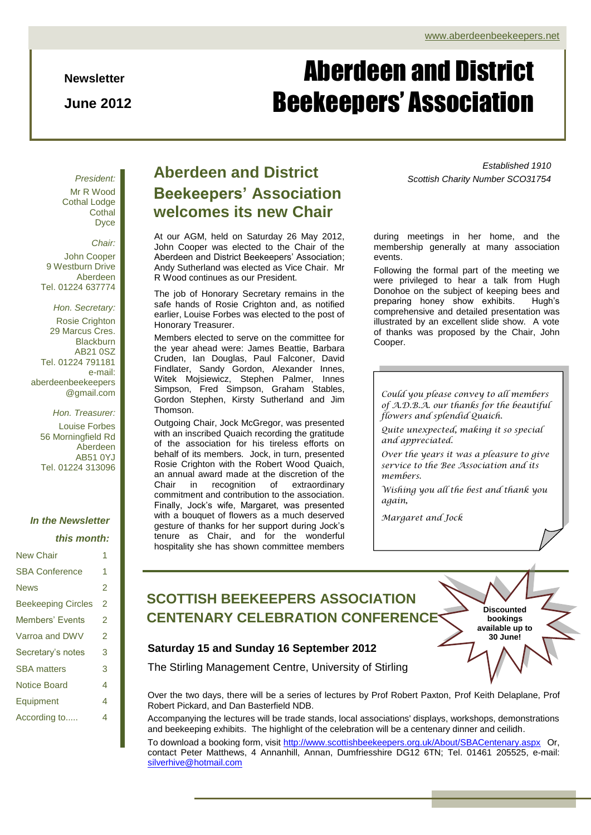**Newsletter**

**June 2012**

# Aberdeen and District Beekeepers' Association

*President:* Mr R Wood Cothal Lodge **Cothal** Dyce

*Chair:* John Cooper 9 Westburn Drive Aberdeen Tel. 01224 637774

*Hon. Secretary:* Rosie Crighton 29 Marcus Cres. **Blackburn** AB21 0SZ Tel. 01224 791181 e-mail: aberdeenbeekeepers @gmail.com

*Hon. Treasurer:* Louise Forbes 56 Morningfield Rd Aberdeen AB51 0YJ Tel. 01224 313096

#### *In the Newsletter*

| this month: |  |
|-------------|--|
|-------------|--|

| <b>New Chair</b>          | 1 |
|---------------------------|---|
| <b>SBA Conference</b>     | 1 |
| <b>News</b>               | 2 |
| <b>Beekeeping Circles</b> | 2 |
| <b>Members' Events</b>    | 2 |
| Varroa and DWV            | 2 |
| Secretary's notes         | 3 |
| <b>SBA</b> matters        | 3 |
| Notice Board              | 4 |
| Equipment                 | 4 |
| According to              | 4 |

### **Aberdeen and District Beekeepers' Association welcomes its new Chair**

At our AGM, held on Saturday 26 May 2012, John Cooper was elected to the Chair of the Aberdeen and District Beekeepers' Association; Andy Sutherland was elected as Vice Chair. Mr R Wood continues as our President.

The job of Honorary Secretary remains in the safe hands of Rosie Crighton and, as notified earlier, Louise Forbes was elected to the post of Honorary Treasurer.

Members elected to serve on the committee for the year ahead were: James Beattie, Barbara Cruden, Ian Douglas, Paul Falconer, David Findlater, Sandy Gordon, Alexander Innes, Witek Mojsiewicz, Stephen Palmer, Innes Simpson, Fred Simpson, Graham Stables, Gordon Stephen, Kirsty Sutherland and Jim Thomson.

Outgoing Chair, Jock McGregor, was presented with an inscribed Quaich recording the gratitude of the association for his tireless efforts on behalf of its members. Jock, in turn, presented Rosie Crighton with the Robert Wood Quaich, an annual award made at the discretion of the Chair in recognition of extraordinary commitment and contribution to the association. Finally, Jock's wife, Margaret, was presented with a bouquet of flowers as a much deserved gesture of thanks for her support during Jock's tenure as Chair, and for the wonderful hospitality she has shown committee members

*Established 1910 Scottish Charity Number SCO31754*

during meetings in her home, and the membership generally at many association events.

Following the formal part of the meeting we were privileged to hear a talk from Hugh Donohoe on the subject of keeping bees and preparing honey show exhibits. Hugh's comprehensive and detailed presentation was illustrated by an excellent slide show. A vote of thanks was proposed by the Chair, John Cooper.

*Could you please convey to all members of A.D.B.A. our thanks for the beautiful flowers and splendid Quaich.*

*Quite unexpected, making it so special and appreciated.*

*Over the years it was a pleasure to give service to the Bee Association and its members.*

Airport A96 *Wishing you all the best and thank you again,*

> **Discounted bookings available up to 30 June!**

*Margaret and Jock*

### **SCOTTISH BEEKEEPERS ASSOCIATION CENTENARY CELEBRATION CONFERENCE**

#### **Saturday 15 and Sunday 16 September 2012**

The Stirling Management Centre, University of Stirling

Over the two days, there will be a series of lectures by Prof Robert Paxton, Prof Keith Delaplane, Prof Robert Pickard, and Dan Basterfield NDB.

Accompanying the lectures will be trade stands, local associations' displays, workshops, demonstrations and beekeeping exhibits. The highlight of the celebration will be a centenary dinner and ceilidh. To download a booking form, visit<http://www.scottishbeekeepers.org.uk/About/SBACentenary.aspx> Or, contact Peter Matthews, 4 Annanhill, Annan, Dumfriesshire DG12 6TN; Tel. 01461 205525, e-mail: [silverhive@hotmail.com](mailto:silverhive@hotmail.com)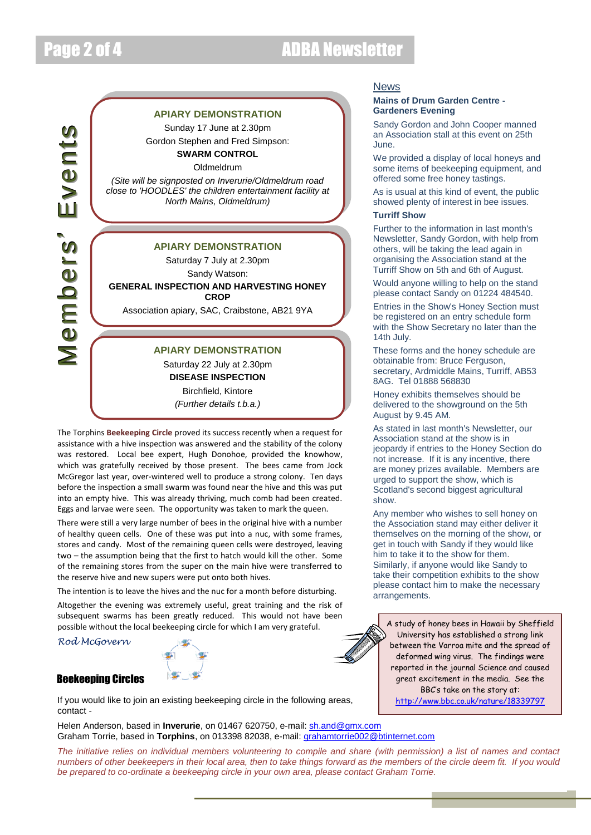## Page 2 of 4 ADBA Newsletter

### $\geq$  $\bf \Phi$  $\Xi$ b $\bf \Phi$  $\equiv$ iย<br>`๑ (  $\geq$  $\bf \Phi$  $\blacksquare$ t**JQ**

#### **APIARY DEMONSTRATION**

Sunday 17 June at 2.30pm Gordon Stephen and Fred Simpson: **SWARM CONTROL**

Oldmeldrum

*(Site will be signposted on Inverurie/Oldmeldrum road close to 'HOODLES' the children entertainment facility at North Mains, Oldmeldrum)*

### **APIARY DEMONSTRATION**

Saturday 7 July at 2.30pm

Sandy Watson: **GENERAL INSPECTION AND HARVESTING HONEY CROP**

Association apiary, SAC, Craibstone, AB21 9YA

#### **APIARY DEMONSTRATION**

Saturday 22 July at 2.30pm **DISEASE INSPECTION** Birchfield, Kintore *(Further details t.b.a.)*

The Torphins **Beekeeping Circle** proved its success recently when a request for assistance with a hive inspection was answered and the stability of the colony was restored. Local bee expert, Hugh Donohoe, provided the knowhow, which was gratefully received by those present. The bees came from Jock McGregor last year, over-wintered well to produce a strong colony. Ten days before the inspection a small swarm was found near the hive and this was put into an empty hive. This was already thriving, much comb had been created. Eggs and larvae were seen. The opportunity was taken to mark the queen.

There were still a very large number of bees in the original hive with a number of healthy queen cells. One of these was put into a nuc, with some frames, stores and candy. Most of the remaining queen cells were destroyed, leaving two – the assumption being that the first to hatch would kill the other. Some of the remaining stores from the super on the main hive were transferred to the reserve hive and new supers were put onto both hives.

The intention is to leave the hives and the nuc for a month before disturbing.

Altogether the evening was extremely useful, great training and the risk of subsequent swarms has been greatly reduced. This would not have been possible without the local beekeeping circle for which I am very grateful.

*Rod McGovern*

#### Beekeeping Circles



If you would like to join an existing beekeeping circle in the following areas, contact -

Helen Anderson, based in **Inverurie**, on 01467 620750, e-mail[: sh.and@gmx.com](mailto:sh.and@gmx.com) Graham Torrie, based in **Torphins**, on 013398 82038, e-mail: [grahamtorrie002@btinternet.com](mailto:grahamtorrie002@btinternet.com)

*The initiative relies on individual members volunteering to compile and share (with permission) a list of names and contact numbers of other beekeepers in their local area, then to take things forward as the members of the circle deem fit. If you would be prepared to co-ordinate a beekeeping circle in your own area, please contact Graham Torrie.*

#### News

#### **Mains of Drum Garden Centre - Gardeners Evening**

Sandy Gordon and John Cooper manned an Association stall at this event on 25th June.

We provided a display of local honeys and some items of beekeeping equipment, and offered some free honey tastings.

As is usual at this kind of event, the public showed plenty of interest in bee issues.

#### **Turriff Show**

Further to the information in last month's Newsletter, Sandy Gordon, with help from others, will be taking the lead again in organising the Association stand at the Turriff Show on 5th and 6th of August.

Would anyone willing to help on the stand please contact Sandy on 01224 484540.

Entries in the Show's Honey Section must be registered on an entry schedule form with the Show Secretary no later than the 14th July.

These forms and the honey schedule are obtainable from: Bruce Ferguson, secretary, Ardmiddle Mains, Turriff, AB53 8AG. Tel 01888 568830

Honey exhibits themselves should be delivered to the showground on the 5th August by 9.45 AM.

Association stand at the show is in As stated in last month's Newsletter, our jeopardy if entries to the Honey Section do not increase. If it is any incentive, there are money prizes available. Members are urged to support the show, which is Scotland's second biggest agricultural show.

Any member who wishes to sell honey on the Association stand may either deliver it themselves on the morning of the show, or get in touch with Sandy if they would like him to take it to the show for them. Similarly, if anyone would like Sandy to take their competition exhibits to the show please contact him to make the necessary arrangements.

A study of honey bees in Hawaii by Sheffield University has established a strong link between the Varroa mite and the spread of deformed wing virus. The findings were reported in the journal Science and caused great excitement in the media. See the BBC's take on the story at: <http://www.bbc.co.uk/nature/18339797>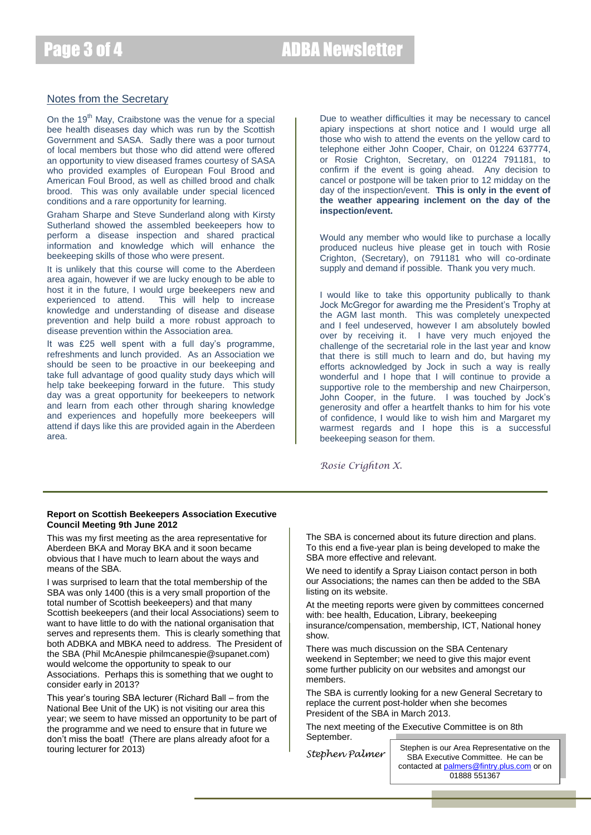### Page 3 of 4 ADBA Newsletter

#### Notes from the Secretary

On the  $19<sup>th</sup>$  May, Craibstone was the venue for a special bee health diseases day which was run by the Scottish Government and SASA. Sadly there was a poor turnout of local members but those who did attend were offered an opportunity to view diseased frames courtesy of SASA who provided examples of European Foul Brood and American Foul Brood, as well as chilled brood and chalk brood. This was only available under special licenced conditions and a rare opportunity for learning.

Graham Sharpe and Steve Sunderland along with Kirsty Sutherland showed the assembled beekeepers how to perform a disease inspection and shared practical information and knowledge which will enhance the beekeeping skills of those who were present.

It is unlikely that this course will come to the Aberdeen area again, however if we are lucky enough to be able to host it in the future, I would urge beekeepers new and experienced to attend. This will help to increase knowledge and understanding of disease and disease prevention and help build a more robust approach to disease prevention within the Association area.

It was £25 well spent with a full day's programme, refreshments and lunch provided. As an Association we should be seen to be proactive in our beekeeping and take full advantage of good quality study days which will help take beekeeping forward in the future. This study day was a great opportunity for beekeepers to network and learn from each other through sharing knowledge and experiences and hopefully more beekeepers will attend if days like this are provided again in the Aberdeen area.

Due to weather difficulties it may be necessary to cancel apiary inspections at short notice and I would urge all those who wish to attend the events on the yellow card to telephone either John Cooper, Chair, on 01224 637774, or Rosie Crighton, Secretary, on 01224 791181, to confirm if the event is going ahead. Any decision to cancel or postpone will be taken prior to 12 midday on the day of the inspection/event. **This is only in the event of the weather appearing inclement on the day of the inspection/event.**

Would any member who would like to purchase a locally produced nucleus hive please get in touch with Rosie Crighton, (Secretary), on 791181 who will co-ordinate supply and demand if possible. Thank you very much.

I would like to take this opportunity publically to thank Jock McGregor for awarding me the President's Trophy at the AGM last month. This was completely unexpected and I feel undeserved, however I am absolutely bowled over by receiving it. I have very much enjoyed the challenge of the secretarial role in the last year and know that there is still much to learn and do, but having my efforts acknowledged by Jock in such a way is really wonderful and I hope that I will continue to provide a supportive role to the membership and new Chairperson, John Cooper, in the future. I was touched by Jock's generosity and offer a heartfelt thanks to him for his vote of confidence, I would like to wish him and Margaret my warmest regards and I hope this is a successful beekeeping season for them.

*Rosie Crighton X.*

#### **Report on Scottish Beekeepers Association Executive Council Meeting 9th June 2012**

This was my first meeting as the area representative for Aberdeen BKA and Moray BKA and it soon became obvious that I have much to learn about the ways and means of the SBA.

I was surprised to learn that the total membership of the SBA was only 1400 (this is a very small proportion of the total number of Scottish beekeepers) and that many Scottish beekeepers (and their local Associations) seem to want to have little to do with the national organisation that serves and represents them. This is clearly something that both ADBKA and MBKA need to address. The President of the SBA (Phil McAnespie philmcanespie@supanet.com) would welcome the opportunity to speak to our Associations. Perhaps this is something that we ought to consider early in 2013?

This year's touring SBA lecturer (Richard Ball – from the National Bee Unit of the UK) is not visiting our area this year; we seem to have missed an opportunity to be part of the programme and we need to ensure that in future we don't miss the boat! (There are plans already afoot for a touring lecturer for 2013)

The SBA is concerned about its future direction and plans. To this end a five-year plan is being developed to make the SBA more effective and relevant.

We need to identify a Spray Liaison contact person in both our Associations; the names can then be added to the SBA listing on its website.

At the meeting reports were given by committees concerned with: bee health, Education, Library, beekeeping insurance/compensation, membership, ICT, National honey show.

There was much discussion on the SBA Centenary weekend in September; we need to give this major event some further publicity on our websites and amongst our members.

The SBA is currently looking for a new General Secretary to replace the current post-holder when she becomes President of the SBA in March 2013.

The next meeting of the Executive Committee is on 8th September.

*Stephen Palmer*

Stephen is our Area Representative on the SBA Executive Committee. He can be contacted at [palmers@fintry.plus.com](mailto:palmers@fintry.plus.com) or on 01888 551367